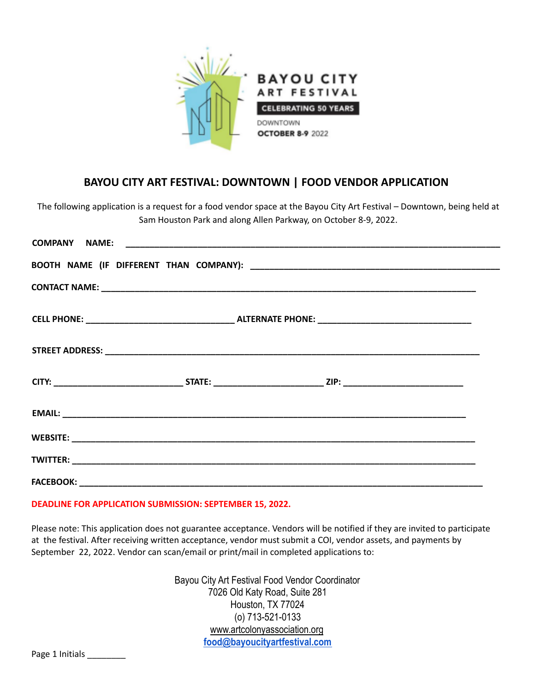

# **BAYOU CITY ART FESTIVAL: DOWNTOWN | FOOD VENDOR APPLICATION**

The following application is a request for a food vendor space at the Bayou City Art Festival – Downtown, being held at Sam Houston Park and along Allen Parkway, on October 8-9, 2022.

#### **DEADLINE FOR APPLICATION SUBMISSION: SEPTEMBER 15, 2022.**

Please note: This application does not guarantee acceptance. Vendors will be notified if they are invited to participate at the festival. After receiving written acceptance, vendor must submit a COI, vendor assets, and payments by September 22, 2022. Vendor can scan/email or print/mail in completed applications to:

> Bayou City Art Festival Food Vendor Coordinator 7026 Old Katy Road, Suite 281 Houston, TX 77024 (o) 713-521-0133 www.artcolonyassociation.org **[food@bayoucityartfestival.com](mailto:food@bayoucityartfestival.com)**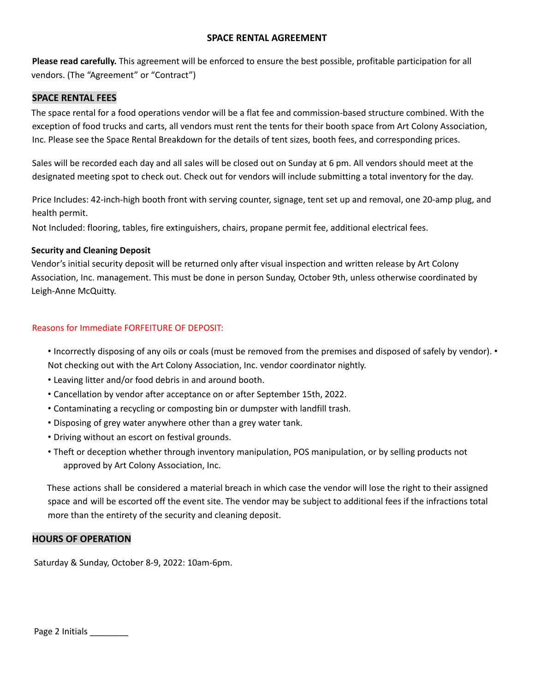### **SPACE RENTAL AGREEMENT**

**Please read carefully.** This agreement will be enforced to ensure the best possible, profitable participation for all vendors. (The "Agreement" or "Contract")

#### **SPACE RENTAL FEES**

The space rental for a food operations vendor will be a flat fee and commission-based structure combined. With the exception of food trucks and carts, all vendors must rent the tents for their booth space from Art Colony Association, Inc. Please see the Space Rental Breakdown for the details of tent sizes, booth fees, and corresponding prices.

Sales will be recorded each day and all sales will be closed out on Sunday at 6 pm. All vendors should meet at the designated meeting spot to check out. Check out for vendors will include submitting a total inventory for the day.

Price Includes: 42-inch-high booth front with serving counter, signage, tent set up and removal, one 20-amp plug, and health permit.

Not Included: flooring, tables, fire extinguishers, chairs, propane permit fee, additional electrical fees.

### **Security and Cleaning Deposit**

Vendor's initial security deposit will be returned only after visual inspection and written release by Art Colony Association, Inc. management. This must be done in person Sunday, October 9th, unless otherwise coordinated by Leigh-Anne McQuitty.

### Reasons for Immediate FORFEITURE OF DEPOSIT:

- Incorrectly disposing of any oils or coals (must be removed from the premises and disposed of safely by vendor). Not checking out with the Art Colony Association, Inc. vendor coordinator nightly.
- Leaving litter and/or food debris in and around booth.
- Cancellation by vendor after acceptance on or after September 15th, 2022.
- Contaminating a recycling or composting bin or dumpster with landfill trash.
- Disposing of grey water anywhere other than a grey water tank.
- Driving without an escort on festival grounds.
- Theft or deception whether through inventory manipulation, POS manipulation, or by selling products not approved by Art Colony Association, Inc.

These actions shall be considered a material breach in which case the vendor will lose the right to their assigned space and will be escorted off the event site. The vendor may be subject to additional fees if the infractions total more than the entirety of the security and cleaning deposit.

#### **HOURS OF OPERATION**

Saturday & Sunday, October 8-9, 2022: 10am-6pm.

Page 2 Initials \_\_\_\_\_\_\_\_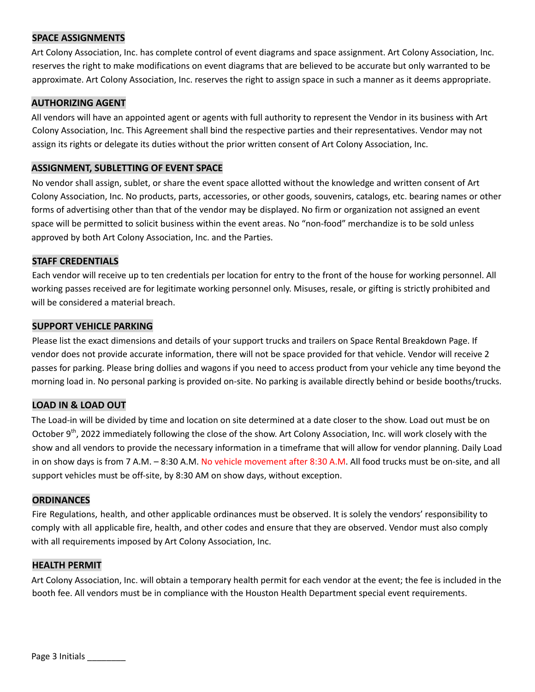### **SPACE ASSIGNMENTS**

Art Colony Association, Inc. has complete control of event diagrams and space assignment. Art Colony Association, Inc. reserves the right to make modifications on event diagrams that are believed to be accurate but only warranted to be approximate. Art Colony Association, Inc. reserves the right to assign space in such a manner as it deems appropriate.

#### **AUTHORIZING AGENT**

All vendors will have an appointed agent or agents with full authority to represent the Vendor in its business with Art Colony Association, Inc. This Agreement shall bind the respective parties and their representatives. Vendor may not assign its rights or delegate its duties without the prior written consent of Art Colony Association, Inc.

#### **ASSIGNMENT, SUBLETTING OF EVENT SPACE**

No vendor shall assign, sublet, or share the event space allotted without the knowledge and written consent of Art Colony Association, Inc. No products, parts, accessories, or other goods, souvenirs, catalogs, etc. bearing names or other forms of advertising other than that of the vendor may be displayed. No firm or organization not assigned an event space will be permitted to solicit business within the event areas. No "non-food" merchandize is to be sold unless approved by both Art Colony Association, Inc. and the Parties.

### **STAFF CREDENTIALS**

Each vendor will receive up to ten credentials per location for entry to the front of the house for working personnel. All working passes received are for legitimate working personnel only. Misuses, resale, or gifting is strictly prohibited and will be considered a material breach.

#### **SUPPORT VEHICLE PARKING**

Please list the exact dimensions and details of your support trucks and trailers on Space Rental Breakdown Page. If vendor does not provide accurate information, there will not be space provided for that vehicle. Vendor will receive 2 passes for parking. Please bring dollies and wagons if you need to access product from your vehicle any time beyond the morning load in. No personal parking is provided on-site. No parking is available directly behind or beside booths/trucks.

#### **LOAD IN & LOAD OUT**

The Load-in will be divided by time and location on site determined at a date closer to the show. Load out must be on October 9<sup>th</sup>, 2022 immediately following the close of the show. Art Colony Association, Inc. will work closely with the show and all vendors to provide the necessary information in a timeframe that will allow for vendor planning. Daily Load in on show days is from 7 A.M. - 8:30 A.M. No vehicle movement after 8:30 A.M. All food trucks must be on-site, and all support vehicles must be off-site, by 8:30 AM on show days, without exception.

#### **ORDINANCES**

Fire Regulations, health, and other applicable ordinances must be observed. It is solely the vendors' responsibility to comply with all applicable fire, health, and other codes and ensure that they are observed. Vendor must also comply with all requirements imposed by Art Colony Association, Inc.

#### **HEALTH PERMIT**

Art Colony Association, Inc. will obtain a temporary health permit for each vendor at the event; the fee is included in the booth fee. All vendors must be in compliance with the Houston Health Department special event requirements.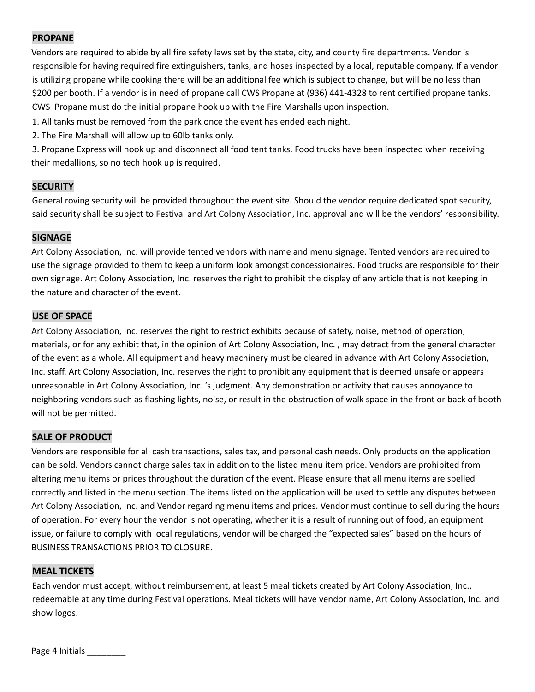# **PROPANE**

Vendors are required to abide by all fire safety laws set by the state, city, and county fire departments. Vendor is responsible for having required fire extinguishers, tanks, and hoses inspected by a local, reputable company. If a vendor is utilizing propane while cooking there will be an additional fee which is subject to change, but will be no less than \$200 per booth. If a vendor is in need of propane call CWS Propane at (936) 441-4328 to rent certified propane tanks. CWS Propane must do the initial propane hook up with the Fire Marshalls upon inspection.

1. All tanks must be removed from the park once the event has ended each night.

2. The Fire Marshall will allow up to 60lb tanks only.

3. Propane Express will hook up and disconnect all food tent tanks. Food trucks have been inspected when receiving their medallions, so no tech hook up is required.

# **SECURITY**

General roving security will be provided throughout the event site. Should the vendor require dedicated spot security, said security shall be subject to Festival and Art Colony Association, Inc. approval and will be the vendors' responsibility.

### **SIGNAGE**

Art Colony Association, Inc. will provide tented vendors with name and menu signage. Tented vendors are required to use the signage provided to them to keep a uniform look amongst concessionaires. Food trucks are responsible for their own signage. Art Colony Association, Inc. reserves the right to prohibit the display of any article that is not keeping in the nature and character of the event.

### **USE OF SPACE**

Art Colony Association, Inc. reserves the right to restrict exhibits because of safety, noise, method of operation, materials, or for any exhibit that, in the opinion of Art Colony Association, Inc. , may detract from the general character of the event as a whole. All equipment and heavy machinery must be cleared in advance with Art Colony Association, Inc. staff. Art Colony Association, Inc. reserves the right to prohibit any equipment that is deemed unsafe or appears unreasonable in Art Colony Association, Inc. 's judgment. Any demonstration or activity that causes annoyance to neighboring vendors such as flashing lights, noise, or result in the obstruction of walk space in the front or back of booth will not be permitted.

# **SALE OF PRODUCT**

Vendors are responsible for all cash transactions, sales tax, and personal cash needs. Only products on the application can be sold. Vendors cannot charge sales tax in addition to the listed menu item price. Vendors are prohibited from altering menu items or prices throughout the duration of the event. Please ensure that all menu items are spelled correctly and listed in the menu section. The items listed on the application will be used to settle any disputes between Art Colony Association, Inc. and Vendor regarding menu items and prices. Vendor must continue to sell during the hours of operation. For every hour the vendor is not operating, whether it is a result of running out of food, an equipment issue, or failure to comply with local regulations, vendor will be charged the "expected sales" based on the hours of BUSINESS TRANSACTIONS PRIOR TO CLOSURE.

#### **MEAL TICKETS**

Each vendor must accept, without reimbursement, at least 5 meal tickets created by Art Colony Association, Inc., redeemable at any time during Festival operations. Meal tickets will have vendor name, Art Colony Association, Inc. and show logos.

Page 4 Initials \_\_\_\_\_\_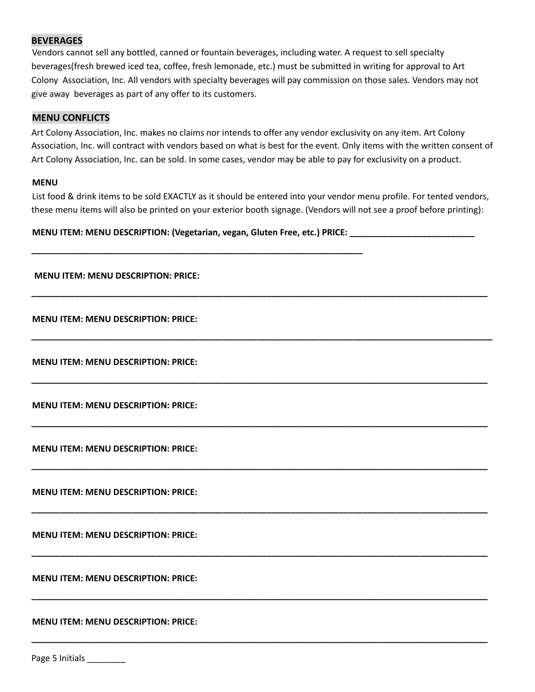### **BEVERAGES**

Vendors cannot sell any bottled, canned or fountain beverages, including water. A request to sell specialty beverages(fresh brewed iced tea, coffee, fresh lemonade, etc.) must be submitted in writing for approval to Art Colony Association, Inc. All vendors with specialty beverages will pay commission on those sales. Vendors may not give away beverages as part of any offer to its customers.

#### **MENU CONFLICTS**

Art Colony Association, Inc. makes no claims nor intends to offer any vendor exclusivity on any item. Art Colony Association, Inc. will contract with vendors based on what is best for the event. Only items with the written consent of Art Colony Association, Inc. can be sold. In some cases, vendor may be able to pay for exclusivity on a product.

#### **MENU**

List food & drink items to be sold EXACTLY as it should be entered into your vendor menu profile. For tented vendors, these menu items will also be printed on your exterior booth signage. (Vendors will not see a proof before printing):

**\_\_\_\_\_\_\_\_\_\_\_\_\_\_\_\_\_\_\_\_\_\_\_\_\_\_\_\_\_\_\_\_\_\_\_\_\_\_\_\_\_\_\_\_\_\_\_\_\_\_\_\_\_\_\_\_\_\_\_\_\_\_\_\_\_\_\_\_\_\_\_\_\_\_\_\_\_\_\_\_\_\_\_\_\_\_\_\_\_\_\_\_\_\_\_**

**\_\_\_\_\_\_\_\_\_\_\_\_\_\_\_\_\_\_\_\_\_\_\_\_\_\_\_\_\_\_\_\_\_\_\_\_\_\_\_\_\_\_\_\_\_\_\_\_\_\_\_\_\_\_\_\_\_\_\_\_\_\_\_\_\_\_\_\_\_\_\_\_\_\_\_\_\_\_\_\_\_\_\_\_\_\_\_\_\_\_\_\_\_\_\_\_**

**\_\_\_\_\_\_\_\_\_\_\_\_\_\_\_\_\_\_\_\_\_\_\_\_\_\_\_\_\_\_\_\_\_\_\_\_\_\_\_\_\_\_\_\_\_\_\_\_\_\_\_\_\_\_\_\_\_\_\_\_\_\_\_\_\_\_\_\_\_\_\_\_\_\_\_\_\_\_\_\_\_\_\_\_\_\_\_\_\_\_\_\_\_\_\_**

**\_\_\_\_\_\_\_\_\_\_\_\_\_\_\_\_\_\_\_\_\_\_\_\_\_\_\_\_\_\_\_\_\_\_\_\_\_\_\_\_\_\_\_\_\_\_\_\_\_\_\_\_\_\_\_\_\_\_\_\_\_\_\_\_\_\_\_\_\_\_\_\_\_\_\_\_\_\_\_\_\_\_\_\_\_\_\_\_\_\_\_\_\_\_\_**

**\_\_\_\_\_\_\_\_\_\_\_\_\_\_\_\_\_\_\_\_\_\_\_\_\_\_\_\_\_\_\_\_\_\_\_\_\_\_\_\_\_\_\_\_\_\_\_\_\_\_\_\_\_\_\_\_\_\_\_\_\_\_\_\_\_\_\_\_\_\_\_\_\_\_\_\_\_\_\_\_\_\_\_\_\_\_\_\_\_\_\_\_\_\_\_**

**\_\_\_\_\_\_\_\_\_\_\_\_\_\_\_\_\_\_\_\_\_\_\_\_\_\_\_\_\_\_\_\_\_\_\_\_\_\_\_\_\_\_\_\_\_\_\_\_\_\_\_\_\_\_\_\_\_\_\_\_\_\_\_\_\_\_\_\_\_\_\_\_\_\_\_\_\_\_\_\_\_\_\_\_\_\_\_\_\_\_\_\_\_\_\_**

**\_\_\_\_\_\_\_\_\_\_\_\_\_\_\_\_\_\_\_\_\_\_\_\_\_\_\_\_\_\_\_\_\_\_\_\_\_\_\_\_\_\_\_\_\_\_\_\_\_\_\_\_\_\_\_\_\_\_\_\_\_\_\_\_\_\_\_\_\_\_\_\_\_\_\_\_\_\_\_\_\_\_\_\_\_\_\_\_\_\_\_\_\_\_\_**

**\_\_\_\_\_\_\_\_\_\_\_\_\_\_\_\_\_\_\_\_\_\_\_\_\_\_\_\_\_\_\_\_\_\_\_\_\_\_\_\_\_\_\_\_\_\_\_\_\_\_\_\_\_\_\_\_\_\_\_\_\_\_\_\_\_\_\_\_\_\_\_\_\_\_\_\_\_\_\_\_\_\_\_\_\_\_\_\_\_\_\_\_\_\_\_**

**\_\_\_\_\_\_\_\_\_\_\_\_\_\_\_\_\_\_\_\_\_\_\_\_\_\_\_\_\_\_\_\_\_\_\_\_\_\_\_\_\_\_\_\_\_\_\_\_\_\_\_\_\_\_\_\_\_\_\_\_\_\_\_\_\_\_\_\_\_\_\_\_\_\_\_\_\_\_\_\_\_\_\_\_\_\_\_\_\_\_\_\_\_\_\_**

**MENU ITEM: MENU DESCRIPTION: (Vegetarian, vegan, Gluten Free, etc.) PRICE: \_\_\_\_\_\_\_\_\_\_\_\_\_\_\_\_\_\_\_\_\_\_\_\_\_\_**

**\_\_\_\_\_\_\_\_\_\_\_\_\_\_\_\_\_\_\_\_\_\_\_\_\_\_\_\_\_\_\_\_\_\_\_\_\_\_\_\_\_\_\_\_\_\_\_\_\_\_\_\_\_\_\_\_\_\_\_\_\_\_\_\_\_\_\_\_\_**

#### **MENU ITEM: MENU DESCRIPTION: PRICE:**

**MENU ITEM: MENU DESCRIPTION: PRICE:**

**MENU ITEM: MENU DESCRIPTION: PRICE:**

**MENU ITEM: MENU DESCRIPTION: PRICE:**

**MENU ITEM: MENU DESCRIPTION: PRICE:**

**MENU ITEM: MENU DESCRIPTION: PRICE:**

**MENU ITEM: MENU DESCRIPTION: PRICE:**

**MENU ITEM: MENU DESCRIPTION: PRICE:**

**MENU ITEM: MENU DESCRIPTION: PRICE:**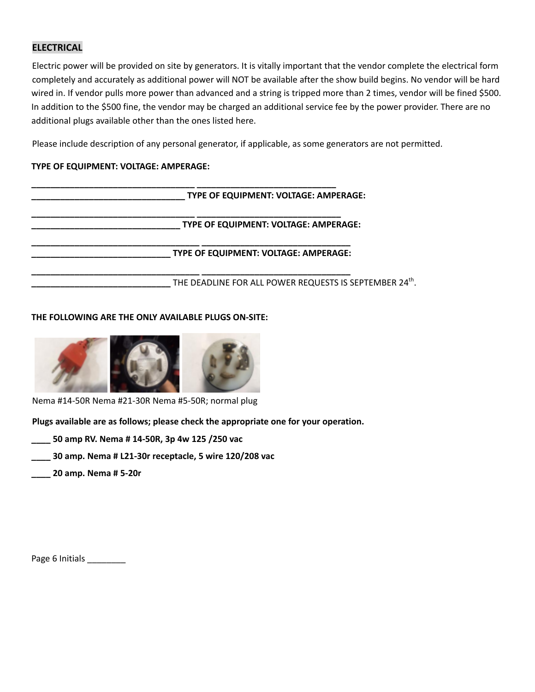# **ELECTRICAL**

Electric power will be provided on site by generators. It is vitally important that the vendor complete the electrical form completely and accurately as additional power will NOT be available after the show build begins. No vendor will be hard wired in. If vendor pulls more power than advanced and a string is tripped more than 2 times, vendor will be fined \$500. In addition to the \$500 fine, the vendor may be charged an additional service fee by the power provider. There are no additional plugs available other than the ones listed here.

Please include description of any personal generator, if applicable, as some generators are not permitted.

### **TYPE OF EQUIPMENT: VOLTAGE: AMPERAGE:**

| TYPE OF EQUIPMENT: VOLTAGE: AMPERAGE:                  |
|--------------------------------------------------------|
| TYPE OF EQUIPMENT: VOLTAGE: AMPERAGE:                  |
| TYPE OF EQUIPMENT: VOLTAGE: AMPERAGE:                  |
| THE DEADLINE FOR ALL POWER REQUESTS IS SEPTEMBER 24th. |

### **THE FOLLOWING ARE THE ONLY AVAILABLE PLUGS ON-SITE:**



Nema #14-50R Nema #21-30R Nema #5-50R; normal plug

**Plugs available are as follows; please check the appropriate one for your operation.**

- **\_\_\_\_ 50 amp RV. Nema # 14-50R, 3p 4w 125 /250 vac**
- **\_\_\_\_ 30 amp. Nema # L21-30r receptacle, 5 wire 120/208 vac**
- **\_\_\_\_ 20 amp. Nema # 5-20r**

Page 6 Initials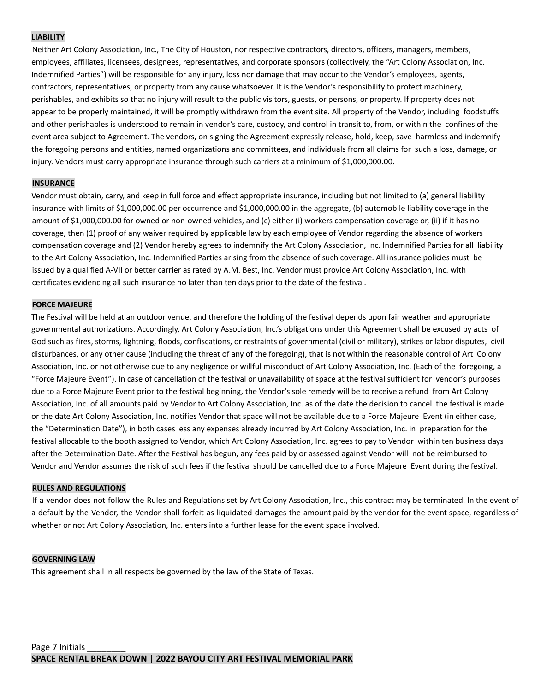#### **LIABILITY**

Neither Art Colony Association, Inc., The City of Houston, nor respective contractors, directors, officers, managers, members, employees, affiliates, licensees, designees, representatives, and corporate sponsors (collectively, the "Art Colony Association, Inc. Indemnified Parties") will be responsible for any injury, loss nor damage that may occur to the Vendor's employees, agents, contractors, representatives, or property from any cause whatsoever. It is the Vendor's responsibility to protect machinery, perishables, and exhibits so that no injury will result to the public visitors, guests, or persons, or property. If property does not appear to be properly maintained, it will be promptly withdrawn from the event site. All property of the Vendor, including foodstuffs and other perishables is understood to remain in vendor's care, custody, and control in transit to, from, or within the confines of the event area subject to Agreement. The vendors, on signing the Agreement expressly release, hold, keep, save harmless and indemnify the foregoing persons and entities, named organizations and committees, and individuals from all claims for such a loss, damage, or injury. Vendors must carry appropriate insurance through such carriers at a minimum of \$1,000,000.00.

#### **INSURANCE**

Vendor must obtain, carry, and keep in full force and effect appropriate insurance, including but not limited to (a) general liability insurance with limits of \$1,000,000.00 per occurrence and \$1,000,000.00 in the aggregate, (b) automobile liability coverage in the amount of \$1,000,000.00 for owned or non-owned vehicles, and (c) either (i) workers compensation coverage or, (ii) if it has no coverage, then (1) proof of any waiver required by applicable law by each employee of Vendor regarding the absence of workers compensation coverage and (2) Vendor hereby agrees to indemnify the Art Colony Association, Inc. Indemnified Parties for all liability to the Art Colony Association, Inc. Indemnified Parties arising from the absence of such coverage. All insurance policies must be issued by a qualified A-VII or better carrier as rated by A.M. Best, Inc. Vendor must provide Art Colony Association, Inc. with certificates evidencing all such insurance no later than ten days prior to the date of the festival.

#### **FORCE MAJEURE**

The Festival will be held at an outdoor venue, and therefore the holding of the festival depends upon fair weather and appropriate governmental authorizations. Accordingly, Art Colony Association, Inc.'s obligations under this Agreement shall be excused by acts of God such as fires, storms, lightning, floods, confiscations, or restraints of governmental (civil or military), strikes or labor disputes, civil disturbances, or any other cause (including the threat of any of the foregoing), that is not within the reasonable control of Art Colony Association, Inc. or not otherwise due to any negligence or willful misconduct of Art Colony Association, Inc. (Each of the foregoing, a "Force Majeure Event"). In case of cancellation of the festival or unavailability of space at the festival sufficient for vendor's purposes due to a Force Majeure Event prior to the festival beginning, the Vendor's sole remedy will be to receive a refund from Art Colony Association, Inc. of all amounts paid by Vendor to Art Colony Association, Inc. as of the date the decision to cancel the festival is made or the date Art Colony Association, Inc. notifies Vendor that space will not be available due to a Force Majeure Event (in either case, the "Determination Date"), in both cases less any expenses already incurred by Art Colony Association, Inc. in preparation for the festival allocable to the booth assigned to Vendor, which Art Colony Association, Inc. agrees to pay to Vendor within ten business days after the Determination Date. After the Festival has begun, any fees paid by or assessed against Vendor will not be reimbursed to Vendor and Vendor assumes the risk of such fees if the festival should be cancelled due to a Force Majeure Event during the festival.

#### **RULES AND REGULATIONS**

If a vendor does not follow the Rules and Regulations set by Art Colony Association, Inc., this contract may be terminated. In the event of a default by the Vendor, the Vendor shall forfeit as liquidated damages the amount paid by the vendor for the event space, regardless of whether or not Art Colony Association, Inc. enters into a further lease for the event space involved.

#### **GOVERNING LAW**

This agreement shall in all respects be governed by the law of the State of Texas.